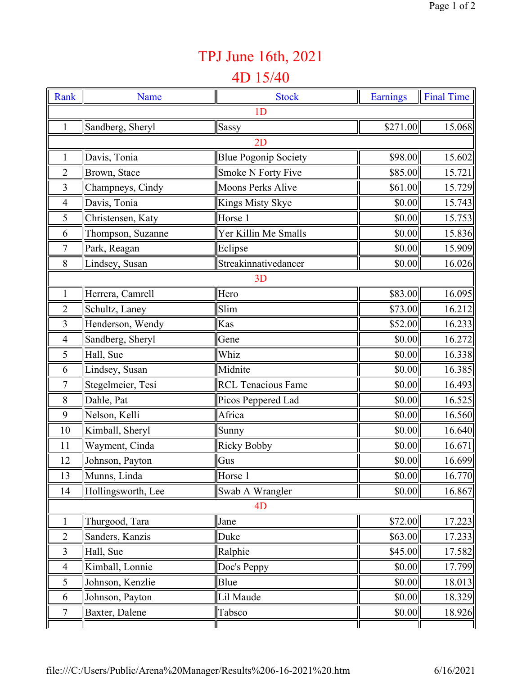## TPJ June 16th, 2021

## 4D 15/40

| Rank           | Name               | <b>Stock</b>                | <b>Earnings</b> | <b>Final Time</b> |  |  |  |
|----------------|--------------------|-----------------------------|-----------------|-------------------|--|--|--|
| 1 <sub>D</sub> |                    |                             |                 |                   |  |  |  |
| 1              | Sandberg, Sheryl   | Sassy                       | \$271.00        | 15.068            |  |  |  |
| 2D             |                    |                             |                 |                   |  |  |  |
| 1              | Davis, Tonia       | <b>Blue Pogonip Society</b> | \$98.00         | 15.602            |  |  |  |
| $\overline{2}$ | Brown, Stace       | Smoke N Forty Five          | \$85.00         | 15.721            |  |  |  |
| 3              | Champneys, Cindy   | <b>Moons Perks Alive</b>    | \$61.00         | 15.729            |  |  |  |
| $\overline{4}$ | Davis, Tonia       | Kings Misty Skye            | \$0.00          | 15.743            |  |  |  |
| 5              | Christensen, Katy  | Horse 1                     | \$0.00          | 15.753            |  |  |  |
| 6              | Thompson, Suzanne  | Yer Killin Me Smalls        | \$0.00          | 15.836            |  |  |  |
| $\overline{7}$ | Park, Reagan       | Eclipse                     | \$0.00          | 15.909            |  |  |  |
| 8              | Lindsey, Susan     | Streakinnativedancer        | \$0.00          | 16.026            |  |  |  |
| 3D             |                    |                             |                 |                   |  |  |  |
| $\mathbf{1}$   | Herrera, Camrell   | Hero                        | \$83.00         | 16.095            |  |  |  |
| $\overline{2}$ | Schultz, Laney     | Slim                        | \$73.00         | 16.212            |  |  |  |
| 3              | Henderson, Wendy   | Kas                         | \$52.00         | 16.233            |  |  |  |
| $\overline{4}$ | Sandberg, Sheryl   | Gene                        | \$0.00          | 16.272            |  |  |  |
| 5              | Hall, Sue          | Whiz                        | \$0.00          | 16.338            |  |  |  |
| 6              | Lindsey, Susan     | Midnite                     | \$0.00          | 16.385            |  |  |  |
| $\overline{7}$ | Stegelmeier, Tesi  | <b>RCL Tenacious Fame</b>   | \$0.00          | 16.493            |  |  |  |
| 8              | Dahle, Pat         | Picos Peppered Lad          | \$0.00          | 16.525            |  |  |  |
| 9              | Nelson, Kelli      | Africa                      | \$0.00          | 16.560            |  |  |  |
| 10             | Kimball, Sheryl    | Sunny                       | \$0.00          | 16.640            |  |  |  |
| 11             | Wayment, Cinda     | <b>Ricky Bobby</b>          | \$0.00          | 16.671            |  |  |  |
| 12             | Johnson, Payton    | Gus                         | \$0.00          | 16.699            |  |  |  |
| 13             | Munns, Linda       | Horse 1                     | \$0.00          | 16.770            |  |  |  |
| 14             | Hollingsworth, Lee | Swab A Wrangler             | \$0.00          | 16.867            |  |  |  |
| 4 <sub>D</sub> |                    |                             |                 |                   |  |  |  |
|                | Thurgood, Tara     | Jane                        | \$72.00         | 17.223            |  |  |  |
| $\overline{2}$ | Sanders, Kanzis    | Duke                        | \$63.00         | 17.233            |  |  |  |
| 3              | Hall, Sue          | Ralphie                     | \$45.00         | 17.582            |  |  |  |
| $\overline{4}$ | Kimball, Lonnie    | Doc's Peppy                 | \$0.00          | 17.799            |  |  |  |
| 5              | Johnson, Kenzlie   | Blue                        | \$0.00          | 18.013            |  |  |  |
| 6              | Johnson, Payton    | Lil Maude                   | \$0.00          | 18.329            |  |  |  |
| 7              | Baxter, Dalene     | Tabsco                      | \$0.00          | 18.926            |  |  |  |
|                |                    |                             |                 |                   |  |  |  |